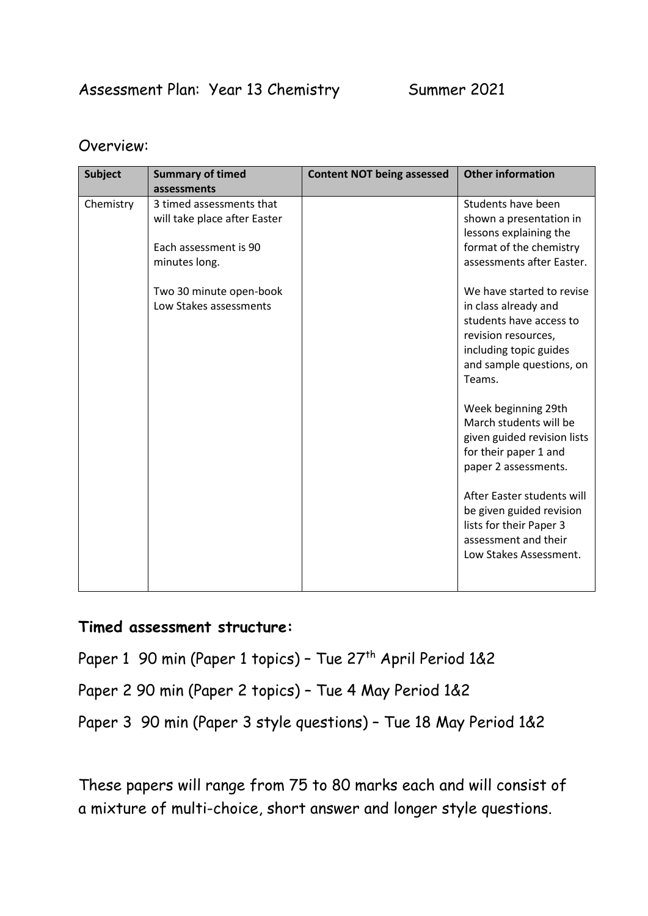### Assessment Plan: Year 13 Chemistry Summer 2021

#### Overview:

| <b>Subject</b> | <b>Summary of timed</b>                                                                            | <b>Content NOT being assessed</b> | <b>Other information</b>                                                                                                                                            |
|----------------|----------------------------------------------------------------------------------------------------|-----------------------------------|---------------------------------------------------------------------------------------------------------------------------------------------------------------------|
|                | assessments                                                                                        |                                   |                                                                                                                                                                     |
| Chemistry      | 3 timed assessments that<br>will take place after Easter<br>Each assessment is 90<br>minutes long. |                                   | Students have been<br>shown a presentation in<br>lessons explaining the<br>format of the chemistry<br>assessments after Easter.                                     |
|                | Two 30 minute open-book<br>Low Stakes assessments                                                  |                                   | We have started to revise<br>in class already and<br>students have access to<br>revision resources,<br>including topic guides<br>and sample questions, on<br>Teams. |
|                |                                                                                                    |                                   | Week beginning 29th<br>March students will be<br>given guided revision lists<br>for their paper 1 and<br>paper 2 assessments.                                       |
|                |                                                                                                    |                                   | After Easter students will<br>be given guided revision<br>lists for their Paper 3<br>assessment and their<br>Low Stakes Assessment.                                 |

#### **Timed assessment structure:**

Paper 1 90 min (Paper 1 topics) - Tue 27<sup>th</sup> April Period 1&2

Paper 2 90 min (Paper 2 topics) – Tue 4 May Period 1&2

Paper 3 90 min (Paper 3 style questions) – Tue 18 May Period 1&2

These papers will range from 75 to 80 marks each and will consist of a mixture of multi-choice, short answer and longer style questions.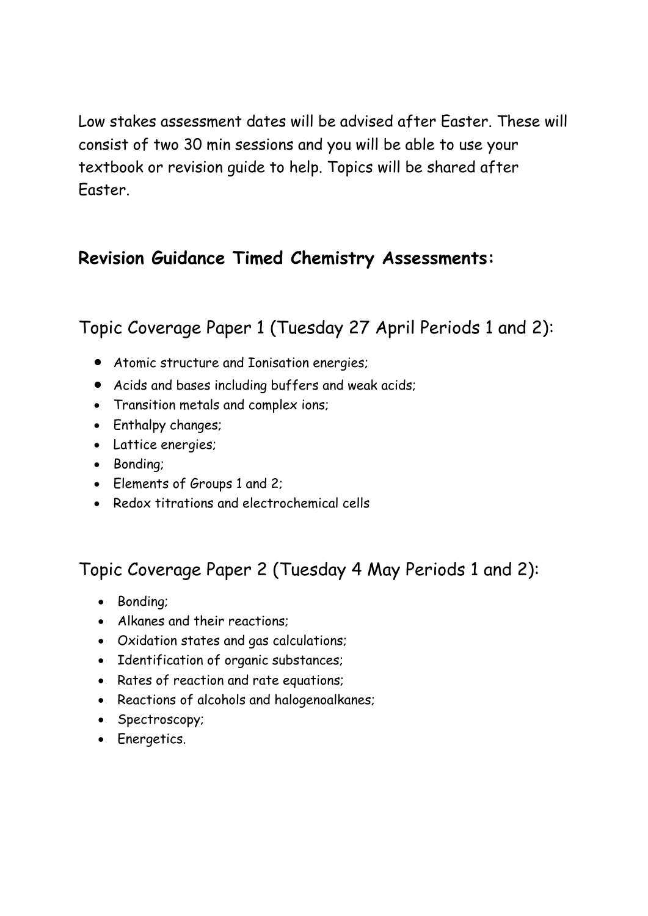Low stakes assessment dates will be advised after Easter. These will consist of two 30 min sessions and you will be able to use your textbook or revision guide to help. Topics will be shared after Easter.

## **Revision Guidance Timed Chemistry Assessments:**

Topic Coverage Paper 1 (Tuesday 27 April Periods 1 and 2):

- Atomic structure and Ionisation energies;
- Acids and bases including buffers and weak acids;
- Transition metals and complex ions;
- Enthalpy changes;
- Lattice energies;
- Bonding;
- Elements of Groups 1 and 2;
- Redox titrations and electrochemical cells

# Topic Coverage Paper 2 (Tuesday 4 May Periods 1 and 2):

- Bonding;
- Alkanes and their reactions;
- Oxidation states and gas calculations;
- Identification of organic substances;
- Rates of reaction and rate equations;
- Reactions of alcohols and halogenoalkanes;
- Spectroscopy;
- Energetics.